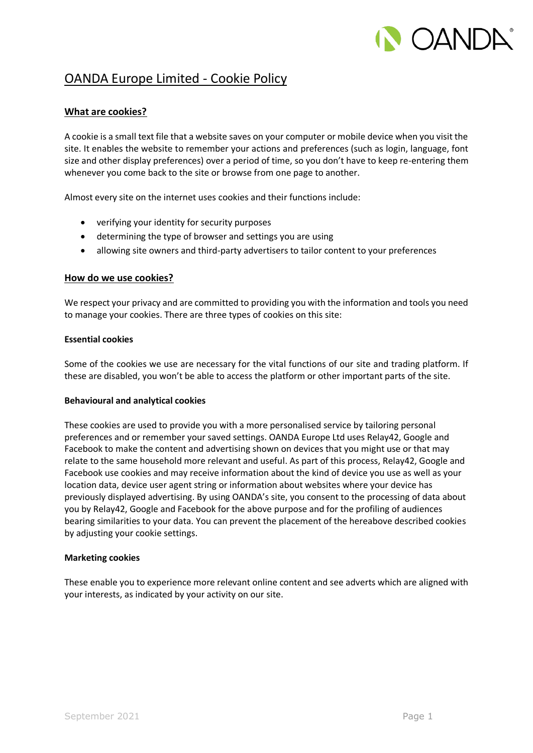# **CANDA**

# OANDA Europe Limited - Cookie Policy

# **What are cookies?**

A cookie is a small text file that a website saves on your computer or mobile device when you visit the site. It enables the website to remember your actions and preferences (such as login, language, font size and other display preferences) over a period of time, so you don't have to keep re-entering them whenever you come back to the site or browse from one page to another.

Almost every site on the internet uses cookies and their functions include:

- verifying your identity for security purposes
- determining the type of browser and settings you are using
- allowing site owners and third-party advertisers to tailor content to your preferences

# **How do we use cookies?**

We respect your privacy and are committed to providing you with the information and tools you need to manage your cookies. There are three types of cookies on this site:

# **Essential cookies**

Some of the cookies we use are necessary for the vital functions of our site and trading platform. If these are disabled, you won't be able to access the platform or other important parts of the site.

# **Behavioural and analytical cookies**

These cookies are used to provide you with a more personalised service by tailoring personal preferences and or remember your saved settings. OANDA Europe Ltd uses Relay42, Google and Facebook to make the content and advertising shown on devices that you might use or that may relate to the same household more relevant and useful. As part of this process, Relay42, Google and Facebook use cookies and may receive information about the kind of device you use as well as your location data, device user agent string or information about websites where your device has previously displayed advertising. By using OANDA's site, you consent to the processing of data about you by Relay42, Google and Facebook for the above purpose and for the profiling of audiences bearing similarities to your data. You can prevent the placement of the hereabove described cookies by adjusting your cookie settings.

#### **Marketing cookies**

These enable you to experience more relevant online content and see adverts which are aligned with your interests, as indicated by your activity on our site.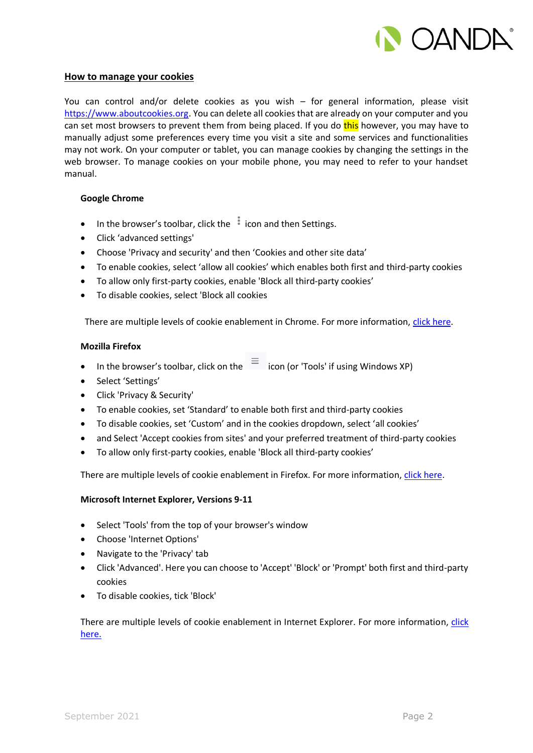

#### **How to manage your cookies**

You can control and/or delete cookies as you wish – for general information, please visit [https://www.aboutcookies.org.](https://www.aboutcookies.org/) You can delete all cookies that are already on your computer and you can set most browsers to prevent them from being placed. If you do this however, you may have to manually adjust some preferences every time you visit a site and some services and functionalities may not work. On your computer or tablet, you can manage cookies by changing the settings in the web browser. To manage cookies on your mobile phone, you may need to refer to your handset manual.

#### **Google Chrome**

- In the browser's toolbar, click the  $\frac{1}{2}$  icon and then Settings.
- Click 'advanced settings'
- Choose 'Privacy and security' and then 'Cookies and other site data'
- To enable cookies, select 'allow all cookies' which enables both first and third-party cookies
- To allow only first-party cookies, enable 'Block all third-party cookies'
- To disable cookies, select 'Block all cookies

There are multiple levels of cookie enablement in Chrome. For more information, [click here.](https://support.google.com/chrome/answer/95647?hl=en)

#### **Mozilla Firefox**

- In the browser's toolbar, click on the  $\equiv$  icon (or 'Tools' if using Windows XP)
- Select 'Settings'
- Click 'Privacy & Security'
- To enable cookies, set 'Standard' to enable both first and third-party cookies
- To disable cookies, set 'Custom' and in the cookies dropdown, select 'all cookies'
- and Select 'Accept cookies from sites' and your preferred treatment of third-party cookies
- To allow only first-party cookies, enable 'Block all third-party cookies'

There are multiple levels of cookie enablement in Firefox. For more information[, click here.](https://support.mozilla.org/en-US/kb/cookies-information-websites-store-on-your-computer)

# **Microsoft Internet Explorer, Versions 9-11**

- Select 'Tools' from the top of your browser's window
- Choose 'Internet Options'
- Navigate to the 'Privacy' tab
- Click 'Advanced'. Here you can choose to 'Accept' 'Block' or 'Prompt' both first and third-party cookies
- To disable cookies, tick 'Block'

There are multiple levels of cookie enablement in Internet Explorer. For more information, [click](https://support.microsoft.com/en-us/help/17442/windows-internet-explorer-delete-manage-cookies)  [here.](https://support.microsoft.com/en-us/help/17442/windows-internet-explorer-delete-manage-cookies)